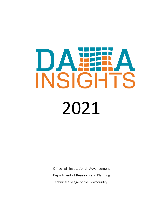# DA WARAT TS **INSIGH** 2021

Office of Institutional Advancement Department of Research and Planning Technical College of the Lowcountry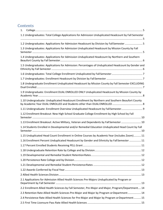## **Contents**

| 1.                                                                                                   |
|------------------------------------------------------------------------------------------------------|
| 1.1 Undergraduates: Total College Applications for Admission Unduplicated Headcount by Fall Semester |
|                                                                                                      |
| 1.2 Undergraduates: Applications for Admission Headcount by Division by Fall Semester 5              |
| 1.3 Undergraduates: Applications for Admission Unduplicated Headcount by Mission County by Fall      |
| 1.4 Undergraduates: Applications for Admission Unduplicated Headcount by Northern and Southern       |
| 1.5 Undergraduates: Applications for Admission: Percentages of Unduplicated Headcount by Gender and  |
|                                                                                                      |
|                                                                                                      |
| 1.8 Undergraduate Enrollment Unduplicated Headcount by Mission County by Fall Semester EXCLUDING     |
| 1.9 Undergraduate: Enrollment DUAL ENROLLED ONLY Unduplicated Headcount by Mission County by         |
| 1.10 Undergraduate: Unduplicated Headcount Enrollment by Northern and Southern Beaufort County       |
| 1.11 Undergraduate: Enrollment Overview Unduplicated Headcount by FallSemester 9                     |
| 1.12 Enrollment Breakout: New High School Graduate College Enrollment by High School by Fall         |
| 1.13 Enrollment Breakout: Active Military, Veteran and Dependents by Fall Semester  10               |
| 1.14 Students Enrolled in Developmental and/or Remedial Education Unduplicated Head Count by Fall    |
| 1.15 Unduplicated Head Count Enrollment in Online Courses by Academic Year (includes Zoom) 11        |
| 11.16 Enrollment Percent Unduplicated Headcount by Gender and Ethnicity by Fall Semester  11         |
|                                                                                                      |
|                                                                                                      |
|                                                                                                      |
|                                                                                                      |
|                                                                                                      |
|                                                                                                      |
|                                                                                                      |
| 2.1 Applications for Admission Allied Health Sciences Pre-Majors Unduplicated by Program or          |
| 2.2 Enrollment Allied Health Sciences by Fall Semester, Pre-Major and Major, Program/Department 14   |
| 2.3 Retention Rate Allied Health Sciences Pre-Major and Major by Program or Department 14            |
| 2.4 Persistence Rate Allied Health Sciences for Pre-Major and Major by Program or Department 15      |
|                                                                                                      |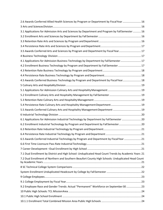| 2.6 Awards Conferred Allied Health Sciences by Program or Department by Fiscal Year  16              |  |
|------------------------------------------------------------------------------------------------------|--|
|                                                                                                      |  |
| 3.1 Applications for Admission Arts and Sciences by Department and Program by FallSemester  16       |  |
|                                                                                                      |  |
|                                                                                                      |  |
|                                                                                                      |  |
| 3.5 Awards Conferred Arts and Sciences by Program and Department by Fiscal Year 17                   |  |
|                                                                                                      |  |
| 4.1 Applications for Admission Business Technology by Department by FallSemester 17                  |  |
| 4.2 Enrollment Business Technology by Program and Department by Fall Semester  17                    |  |
|                                                                                                      |  |
|                                                                                                      |  |
| 4.5 Awards Conferred Business Technology by Program and Department by Fiscal Year 18                 |  |
|                                                                                                      |  |
|                                                                                                      |  |
|                                                                                                      |  |
|                                                                                                      |  |
|                                                                                                      |  |
| 5.5 Awards Conferred Culinary Arts and Hospitality Management Department  19                         |  |
|                                                                                                      |  |
| 6.1 Applications for Admission Industrial Technology by Department by Fall Semester  20              |  |
| 6.2 Enrollment Industrial Technology by Program and Department by FallSemester 20                    |  |
|                                                                                                      |  |
|                                                                                                      |  |
| 6.5 Awards Conferred Industrial Technology by Program and Department by Fiscal Year  21              |  |
|                                                                                                      |  |
|                                                                                                      |  |
| 7.1 Dual Enrollment by District and High School: Unduplicated Head Count Trends by Academic Years 21 |  |
| 7.2 Dual Enrollment of Northern and Southern Beaufort County High Schools: Unduplicated Head Count   |  |
|                                                                                                      |  |
|                                                                                                      |  |
|                                                                                                      |  |
|                                                                                                      |  |
| 9.2 Employee Race and Gender Trends: Actual "Permanent" Workforce on September 30  23                |  |
|                                                                                                      |  |
|                                                                                                      |  |
|                                                                                                      |  |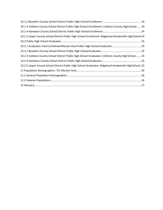| 10.1.3 Colleton County School District Public High School Enrollment: Colleton County High School 24     |
|----------------------------------------------------------------------------------------------------------|
|                                                                                                          |
| 10.1.5 Jasper County School District Public High School Enrollment: Ridgeland-Hardeeville High School 24 |
|                                                                                                          |
|                                                                                                          |
|                                                                                                          |
| 10.2.3 Colleton County School District Public High School Graduates: Colleton County High School 25      |
|                                                                                                          |
| 10.2.5 Jasper County School District Public High School Graduates: Ridgeland-Hardeeville High School. 25 |
|                                                                                                          |
|                                                                                                          |
|                                                                                                          |
|                                                                                                          |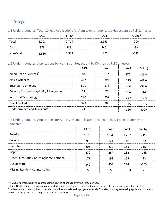## <span id="page-4-0"></span>1. College

#### <span id="page-4-1"></span>1.1 Undergraduates: Total College Applications for Admission Unduplicated Headcount by Fall Semester

|          | <b>FA19</b> | FA20  | FA21  | % $Chg5$ |
|----------|-------------|-------|-------|----------|
| Total    | 2,703       | 2,714 | 2,168 | $-20%$   |
| Dual     |             | 383   | 345   | -8%      |
| Non-Dual | 2,330       | 2,331 | ,823  | $-22%$   |

#### <span id="page-4-2"></span>1.2 Undergraduates: Applications for Admission Headcount by Division by FallSemester

|                                                 | <b>FA19</b> | FA <sub>20</sub> | <b>FA21</b> | % Chg  |  |
|-------------------------------------------------|-------------|------------------|-------------|--------|--|
| Allied Health Sciences <sup>6</sup>             | 1.042       | 1.079            | 772.        | $-26%$ |  |
| Arts & Sciences                                 | 337         | 295              | 175         | 48%    |  |
| <b>Business Technology</b>                      | 591         | 578              |             | $-32%$ |  |
| <b>Culinary Arts and Hospitality Management</b> |             |                  | 104         | 76%    |  |
| <b>Industrial Technology</b>                    | 290         | 292              | 742.        | $-17%$ |  |
| Dual Enrolled                                   | 373         |                  | 345         |        |  |
| Undetermined and Transient <sup>7</sup>         |             |                  |             |        |  |

#### <span id="page-4-3"></span>1.3 Undergraduates: Applications for Admission Unduplicated Headcount by Mission County by Fall Semester

|                                             | <b>FA 19</b> | <b>FA20</b> | <b>FA21</b>                              | % Chg  |
|---------------------------------------------|--------------|-------------|------------------------------------------|--------|
| <b>Beaufort</b>                             | 1,619        | 1,645       | 1,287<br>------------------------------- | $-21%$ |
| Colleton                                    |              | 171         | 110                                      | 18%    |
| Hampton                                     | 205          | 210         | 156                                      | $-24%$ |
| Jasper                                      | 272          | 237         | 232                                      | $-15%$ |
| Other SC counties inc Effingham/Chatham, GA | 171          | 198         | 155                                      | $-9%$  |
| Out-of-State                                | 349          | วดว         | 774                                      | -36%   |
| <b>Missing Resident County Codes</b>        |              |             |                                          |        |

<span id="page-4-4"></span> <sup>5</sup> % Chg, or percent change, represents the degree of change over the three periods.

<span id="page-4-5"></span><sup>6</sup> Allied Health Sciences applicant count includes allied health pre-majors coded as associate of science and general technology.

<span id="page-4-6"></span> $7$  Undetermined is an applicant or student who has not selected a program of study. Transient is a degree seeking applicant or student who is currently pursuing a degree at another institution.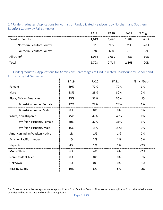|                                 | <b>FA19</b> | <b>FA20</b> | FA21  | % Chg   |
|---------------------------------|-------------|-------------|-------|---------|
| <b>Beaufort County</b>          | 1,619       | 1,645       | 1.287 | $-21\%$ |
| <b>Northern Beaufort County</b> | 991         | 985         | 714   | -28%    |
| Southern Beaufort County        | 628         | 660         | 573   | -9%     |
| All Other <sup>8</sup>          | 1,084       | 1,069       | 881   | -19%    |
| Total                           | 2,703       | 2,714       | 2,168 | $-20\%$ |

#### <span id="page-5-0"></span>1.4 Undergraduates: Applications for Admission Unduplicated Headcount by Northern and Southern Beaufort County by Fall Semester

#### <span id="page-5-1"></span>1.5 Undergraduates: Applications for Admission: Percentages of Unduplicated Headcount by Gender and Ethnicity by Fall Semester

|                                | <b>FA19</b> | <b>FA20</b> | <b>FA21</b> | % Incr/Decr |
|--------------------------------|-------------|-------------|-------------|-------------|
| Female                         | 69%         | 70%         | 70%         | 1%          |
| Male                           | 28%         | 28%         | 30%         | 2%          |
| <b>Black/African American</b>  | 35%         | 36%         | 36%         | 1%          |
| Blk/African Amer. Female       | 27%         | 28%         | 28%         | 1%          |
| Blk/African Amer. Male         | 8%          | 8%          | 8%          | 0%          |
| White/Non-Hispanic             | 45%         | 47%         | 46%         | 1%          |
| Wh/Non-Hispanic. Female        | 30%         | 32%         | 31%         | 1%          |
| Wh/Non-Hispanic. Male          | 15%         | 15%         | 15%5        | 0%          |
| American Indian/Alaskan Native | 1%          | 1%          | 1%          | 0%          |
| Asian or Pacific Islander      | 1%          | 2%          | 1%          | 0%          |
| Hispanic                       | 4%          | 2%          | 2%          | $-2%$       |
| Multi-Ethnic                   | 6%          | 4%          | 4%          | $-2%$       |
| Non-Resident Alien             | 0%          | 0%          | 0%          | 0%          |
| Unknown                        | 1%          | 0%          | 0%          | $-1%$       |
| <b>Missing Codes</b>           | 10%         | 8%          | 8%          | $-2%$       |

<span id="page-5-2"></span><sup>&</sup>lt;sup>8</sup> All Other includes all other applicants except applicants from Beaufort County. All other includes applicants from other mission area counties and other in state and out of state applicants.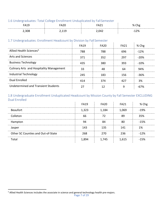#### <span id="page-6-0"></span>1.6 Undergraduates: Total College Enrollment Unduplicated by FallSemester

| ີ<br>. | ີ<br>$\sim$<br>neu |       | ℅<br>פי י |
|--------|--------------------|-------|-----------|
| 2,308  |                    | . വി. | ി ഡ       |

#### <span id="page-6-1"></span>1.7 Undergraduates: Enrollment Headcount by Division by Fall Semester

|                                                 | <b>FA19</b> | <b>FA20</b> | FA <sub>21</sub> | % Chg  |
|-------------------------------------------------|-------------|-------------|------------------|--------|
| Allied Health Sciences <sup>5</sup>             | 788         | 788         | 696              | $-12%$ |
| <b>Arts and Sciences</b>                        | 371         | 352         | 297              | -20%   |
| <b>Business Technology</b>                      | 435         | 380         | 393              | $-10%$ |
| <b>Culinary Arts and Hospitality Management</b> |             |             |                  | 94%    |
| <b>Industrial Technology</b>                    | 245         | 183         | 156              | -36%   |
| Dual Enrolled                                   | 414         | 374         | 477              | 3%     |
| Undetermined and Transient Students             |             |             |                  |        |

#### <span id="page-6-2"></span>1.8 Undergraduate Enrollment Unduplicated Headcount by Mission County by Fall Semester EXCLUDING Dual Enrolled

|                                    | <b>FA19</b> | <b>FA20</b> | <b>FA21</b> | % Chg  |
|------------------------------------|-------------|-------------|-------------|--------|
| <b>Beaufort</b>                    | 1,323       | 1.184       | 1.069       | $-19%$ |
| Colleton                           | 66          |             |             | 35%    |
| Hampton                            |             |             |             | $-15%$ |
| Jasper                             | 143         | 135         | 141         | 1%     |
| Other SC Counties and Out-of-State | 268         | 270         | 236         | $-12%$ |
| Total                              | 1.894       | .745        | 1.615       | .%     |

<span id="page-6-3"></span> <sup>5</sup> Allied Health Sciences includes the associate in science and general technology health pre-majors.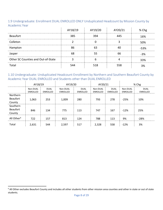#### <span id="page-7-0"></span>1.9 Undergraduate: Enrollment DUAL ENROLLED ONLY Unduplicated Headcount by Mission County by Academic Year

|                                    | AY18/19 | AY19/20 | AY20/21 | % Chg |
|------------------------------------|---------|---------|---------|-------|
| <b>Beaufort</b>                    | 385     | 394     |         | 16%   |
| Colleton                           |         |         |         | 50%   |
| Hampton                            |         |         |         | -53%  |
| Jasper                             |         |         |         | -3%   |
| Other SC Counties and Out-of-State |         |         |         | 33%   |
| Tota                               |         |         |         |       |

#### <span id="page-7-1"></span>1.10 Undergraduate: Unduplicated Headcount Enrollment by Northern and Southern Beaufort County by Academic Year DUAL ENROLLED and Students other than DUAL ENROLLED j.

|                                       | AY18/19                     |                         | AY19/20              |                         | AY20/21              |                  |                      | % Chg                          |
|---------------------------------------|-----------------------------|-------------------------|----------------------|-------------------------|----------------------|------------------|----------------------|--------------------------------|
|                                       | Non-DUAL<br><b>ENROLLED</b> | <b>DUAL</b><br>ENROLLED | Non-DUAL<br>ENROLLED | <b>DUAL</b><br>ENROLLED | Non-DUAL<br>ENROLLED | DUAL<br>ENROLLED | Non-DUAL<br>ENROLLED | <b>DUAL</b><br><b>ENROLLED</b> |
| Northern<br><b>Beaufort</b><br>County | 1,063                       | 253                     | 1,009                | 280                     | 793                  | 278              | $-25%$               | 10%                            |
| Southern<br><b>Beaufort</b><br>County | 846                         | 134                     | 775                  | 113                     | 747                  | 167              | $-12%$               | 25%                            |
| All Other <sup>6</sup>                | 722                         | 157                     | 813                  | 124                     | 788                  | 113              | 9%                   | $-28%$                         |
| Total                                 | 2,631                       | 544                     | 2.597                | 517                     | 2.328                | 558              | $-12%$               | 3%                             |

<span id="page-7-2"></span><sup>&</sup>lt;sup>6</sup> All Other excludes Beaufort County and includes all other students from other mission area counties and other in state or out of state students.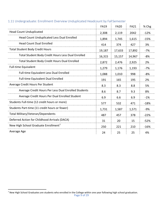|                                                           | <b>FA19</b> | <b>FA20</b> | <b>FA21</b> | % Chg  |
|-----------------------------------------------------------|-------------|-------------|-------------|--------|
| <b>Head Count Unduplicated</b>                            | 2,308       | 2,119       | 2042        | $-12%$ |
| <b>Head Count Unduplicated Less Dual Enrolled</b>         | 1,894       | 1,745       | 1,615       | $-15%$ |
| <b>Head Count Dual Enrolled</b>                           | 414         | 374         | 427         | 3%     |
| <b>Total Student Body Credit Hours</b>                    | 19,187      | 17,633      | 17,892      | $-7%$  |
| <b>Total Student Body Credit Hours Less Dual Enrolled</b> | 16,315      | 15,157      | 14,967      | $-8%$  |
| <b>Total Student Body Credit Hours Dual Enrolled</b>      | 2,872       | 2,476       | 2,925       | 2%     |
| <b>Full-time Equivalent</b>                               | 1,279       | 1,176       | 1,193       | $-7%$  |
| Full-time Equivalent Less Dual Enrolled                   | 1,088       | 1,010       | 998         | $-8%$  |
| <b>Full-time Equivalent Dual Enrolled</b>                 | 191         | 165         | 195         | 2%     |
| Average Credit Hours Per Student                          | 8.3         | 8.3         | 8.8         | 5%     |
| Average Credit Hours Per Less Dual Enrolled Students      | 8.6         | 8.7         | 9.3         | 8%     |
| Average Credit Hours Per Dual Enrolled Student            | 6.9         | 6.6         | 6.9         | $-1%$  |
| Students Full-time (12 credit hours or more)              | 577         | 532         | 471         | $-18%$ |
| Students Part-time (11 credit hours or fewer)             | 1,731       | 1,587       | 1,571       | $-9%$  |
| Total Military/Veteran/Dependents                         | 487         | 457         | 378         | $-22%$ |
| Deferred Action for Childhood Arrivals (DACA)             | 31          | 20          | 15          | $-52%$ |
| New High School Graduate Enrollment <sup>7</sup>          | 250         | 221         | 210         | $-16%$ |
| Average Age                                               | 24          | 25          | 25          | 4%     |

## <span id="page-8-0"></span>1.11 Undergraduate: Enrollment Overview Unduplicated Headcount by FallSemester

<span id="page-8-1"></span>Page 9 of 29 The School Graduates are students who enrolled in the College within one year following high school graduation.<br><sup>7</sup> New High School Graduates are students who enrolled in the College within one year following high school g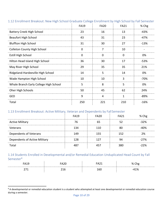|                                        | <b>FA19</b> | <b>FA20</b> | <b>FA21</b> | % Chg  |
|----------------------------------------|-------------|-------------|-------------|--------|
| <b>Battery Creek High School</b>       | 23          | 16          | 13          | -43%   |
| <b>Beaufort High School</b>            | 43          | 31          | 23          | $-47%$ |
| <b>Bluffton High School</b>            | 31          | 30          | 27          | $-13%$ |
| <b>Colleton County High School</b>     | $\Omega$    | 7           | 10          |        |
| Estill High School                     | $\Omega$    | $\Omega$    | $\Omega$    | 0%     |
| Hilton Head Island High School         | 36          | 30          | 17          | -53%   |
| May River High School                  | 29          | 35          | 35          | 21%    |
| Ridgeland-Hardeeville High School      | 14          | 5           | 14          | 0%     |
| Wade Hampton High School               | 10          | 10          | 3           | $-70%$ |
| Whale Branch Early College High School | 5           | 8           | 5           | 0%     |
| Oher High Schools                      | 50          | 45          | 62          | 24%    |
| <b>GED</b>                             | 9           | 4           | 1           | $-89%$ |
| Total                                  | 250         | 221         | 210         | $-16%$ |

#### <span id="page-9-0"></span>1.12 Enrollment Breakout: New High School Graduate College Enrollment by High School by Fall Semester

#### <span id="page-9-1"></span>1.13 Enrollment Breakout: Active Military, Veteran and Dependents by FallSemester

|                               | <b>FA19</b> | FA <sub>20</sub> | <b>FA21</b> | % Chg   |
|-------------------------------|-------------|------------------|-------------|---------|
| <b>Active Military</b>        |             |                  |             | -32%    |
| Veterans                      | 134         |                  |             | ነበ%     |
| Dependents of Veterans        | 149         | 155              | 152         | ን%      |
| Dependents of Active Military |             |                  |             | $-27\%$ |
| Total                         |             |                  |             | つつ%     |

#### <span id="page-9-2"></span>1.14 Students Enrolled in Developmental and/or Remedial Education Unduplicated Head Count by Fall Semester<sup>[8](#page-9-3)</sup>

|  |      | nc        |
|--|------|-----------|
|  | 160. | 10/<br>70 |

<span id="page-9-3"></span><sup>&</sup>lt;sup>8</sup> A developmental or remedial education student is a student who attempted at least one developmental or remedial education course during a semester.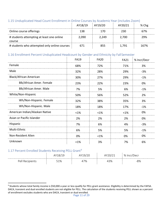#### <span id="page-10-0"></span>1.15 Unduplicated Head Count Enrollment in Online Courses by Academic Year (includes Zoom)

|                                                     | AY18/19 | AY19/20 | AY20/21 | $%$ Chg |
|-----------------------------------------------------|---------|---------|---------|---------|
| Online course offerings                             | 138     | 170     | 230     | 67%     |
| # students attempting at least one online<br>course | 2,090   | 2,249   | 2,700   | 29%     |
| # students who attempted only online courses        | 671     | 855     | 1,791   | 167%    |

#### <span id="page-10-1"></span>1.16 Enrollment Percent Unduplicated Headcount by Gender and Ethnicity by FallSemester

|                                | <b>FA19</b> | <b>FA20</b> | <b>FA21</b> | % Incr/Decr |
|--------------------------------|-------------|-------------|-------------|-------------|
| Female                         | 68%         | 72%         | 71%         | 3%          |
| Male                           | 32%         | 28%         | 29%         | $-3%$       |
| Black/African American         | 30%         | 27%         | 29%         | $-1%$       |
| Blk/African Amer. Female       | 23%         | 22%         | 23%         | 0%          |
| Blk/African Amer. Male         | 7%          | 5%          | 6%          | $-1%$       |
| White/Non-Hispanic             | 50%         | 56%         | 52%         | 2%          |
| Wh/Non-Hispanic. Female        | 32%         | 38%         | 35%         | 3%          |
| Wh/Non-Hispanic. Male          | 18%         | 18%         | 17%         | $-1%$       |
| American Indian/Alaskan Native | $< 1\%$     | $< 1\%$     | $< 1\%$     | 0%          |
| Asian or Pacific Islander      | 2%          | 2%          | 2%          | 0%          |
| Hispanic                       | 7%          | 6%          | 4%          | $-3%$       |
| Multi-Ethnic                   | 6%          | 5%          | 5%          | $-1%$       |
| Non-Resident Alien             | 0%          | $<$ 1%      | 0%          | 0%          |
| Unknown                        | <1%         | 3%          | 7%          | 6%          |

#### <span id="page-10-2"></span>1.17 Percent Enrolled Students Receiving PELL Grant<sup>[9](#page-10-3)</sup>

|       |     |    |              | $^{\circ}$<br>Decr<br>ט י<br>. |
|-------|-----|----|--------------|--------------------------------|
| ٰ ے ب | 51% | 7% | ∕חרו<br>+370 | O <sub>0</sub><br>- ^<br>°O 70 |

<span id="page-10-3"></span><sup>&</sup>lt;sup>9</sup> Students whose total family income is \$50,000 a year or less qualify for PELL grant assistance. Eligibility is determined by the FAFSA. DACA, transient and dual enrolled students are not eligible for PELL. The calculation of the students receiving PELL shown as a percent of enrollment excludes students who are DACA, transient or dual enrolled.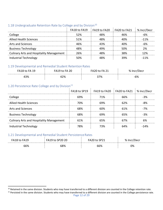|                                                 |      |     | $FA18$ to $FA19$ $FA19$ to $FA20$ $FA20$ to $FA21$ | ∣ % Incr/Decr |
|-------------------------------------------------|------|-----|----------------------------------------------------|---------------|
| ollege                                          | 52%  | 18% |                                                    |               |
| lied Health Sciences                            | 51%  |     |                                                    | $-11\%$       |
| Arts and Sciences                               |      | 13% | ι∩%                                                |               |
| <b>Business Technology</b>                      | 100Z |     | ናበ%                                                | 7%            |
| <b>Culinary Arts and Hospitality Management</b> | ን6%  |     | २९%                                                | 2%            |
| dustrial Technology                             |      |     |                                                    |               |

#### <span id="page-11-0"></span>1.18 Undergraduate Retention Rate by College and by Division<sup>[10](#page-11-4)</sup>

#### <span id="page-11-1"></span>1.19 Developmental and Remedial Student Retention Rates

| - -         |                                  |     |    |
|-------------|----------------------------------|-----|----|
| ∕ס כי<br>70 | √סר∵<br>$\overline{\phantom{a}}$ | 37% | Γ٥ |

#### <span id="page-11-2"></span>1.20 Persistence Rate College and by Division $^{11}$  $^{11}$  $^{11}$

|                                                 |     | FA18 to SP19 FA19 to FA20 FA20 to FA21 % Incr/Decr |     |       |
|-------------------------------------------------|-----|----------------------------------------------------|-----|-------|
| College                                         | 69% | 71%                                                | 66% | २%    |
| <b>Allied Health Sciences</b>                   | 70% | ናሳ%                                                | 62% | .ጸ%   |
| <b>Arts and Sciences</b>                        | 68% | ናበ%                                                | 61% | $-7%$ |
| <b>Business Technology</b>                      | 68% |                                                    |     |       |
| <b>Culinary Arts and Hospitality Management</b> | 61% | 65%                                                |     |       |
| Industrial Technology                           | 78% | 73%                                                |     |       |

#### <span id="page-11-3"></span>1.21 Developmental and Remedial Student Persistence Rates

|     |     | ິ  |
|-----|-----|----|
| 68% | ን6% | 0% |

<span id="page-11-4"></span><sup>&</sup>lt;sup>10</sup> Retained in the same division. Students who may have transferred to a different division are counted in the College retention rate.

<span id="page-11-5"></span><sup>&</sup>lt;sup>11</sup> Persisted in the same division. Students who may have transferred to a different division are counted in the College persistence rate.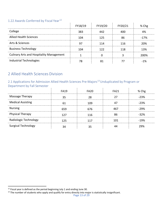#### <span id="page-12-0"></span>1.22 Awards Conferred by Fiscal Year<sup>[12](#page-12-3)</sup>

| LLZZ AWAIUS CUITEITEU DY FISCAL LEAT            |         |         |         |       |
|-------------------------------------------------|---------|---------|---------|-------|
|                                                 | FY18/19 | FY19/20 | FY20/21 | % Chg |
| College                                         | 383     |         |         |       |
| <b>Allied Health Sciences</b>                   | 1 ( ) 4 | 125     |         | -17%  |
| Arts & Sciences                                 |         |         | 116     | ንበ%   |
| <b>Business Technology</b>                      |         |         | 118     | १२%   |
| <b>Culinary Arts and Hospitality Management</b> |         |         |         | 200%  |
| Industrial Technologies                         |         |         |         |       |

## <span id="page-12-1"></span>2 Allied Health Sciences Division

#### <span id="page-12-2"></span>2.1 Applications for Admission Allied Health Sciences Pre-Majors<sup>[13](#page-12-4)</sup> Unduplicated by Program or Department by Fall Semester and the control of the control of the  $\sim 10^{-11}$

|                            | FA19 | FA <sub>20</sub> | FA <sub>21</sub> | % Chg  |
|----------------------------|------|------------------|------------------|--------|
| Massage Therapy            |      |                  |                  | -23%   |
| <b>Medical Assisting</b>   |      | 109              |                  | -23%   |
| <b>Nursing</b>             |      | 676              |                  | -29%   |
| <b>Physical Therapy</b>    |      | 116              |                  | -32%   |
| Radiologic Technology      | 175  |                  |                  | $-19%$ |
| <b>Surgical Technology</b> |      |                  |                  | 29%    |

<span id="page-12-3"></span> $12$  Fiscal year is defined as the period beginning July 1 and ending June 30.

<span id="page-12-4"></span><sup>&</sup>lt;sup>13</sup> The number of students who apply and qualify for entry directly into major is statistically insignificant.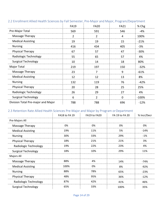|                                    | <b>FA19</b>    | <b>FA20</b> | <b>FA21</b> | % Chg   |
|------------------------------------|----------------|-------------|-------------|---------|
| Pre-Major Total                    | 569            | 591         | 546         | $-4%$   |
| Massage Therapy                    | $\overline{2}$ | 2           | 4           | 100%    |
| <b>Medical Assisting</b>           | 19             | 19          | 15          | $-21%$  |
| <b>Nursing</b>                     | 416            | 434         | 405         | $-3%$   |
| Physical Therapy                   | 67             | 57          | 47          | $-30%$  |
| Radiologic Technology              | 55             | 65          | 57          | 4%      |
| <b>Surgical Technology</b>         | 10             | 14          | 18          | 80%     |
| <b>Major Total</b>                 | 219            | 197         | 150         | $-32%$  |
| Massage Therapy                    | 23             | 7           | 9           | $-61%$  |
| <b>Medical Assisting</b>           | 12             | 12          | 13          | 8%      |
| <b>Nursing</b>                     | 132            | 119         | 76          | $-42%$  |
| <b>Physical Therapy</b>            | 20             | 28          | 25          | 25%     |
| Radiologic Technology              | 26             | 29          | 27          | 4%      |
| <b>Surgical Technology</b>         | 6              | 2           | 0           | $-100%$ |
| Division Total Pre-major and Major | 788            | 788         | 696         | $-12%$  |

## <span id="page-13-0"></span>2.2 Enrollment Allied Health Sciences by Fall Semester, Pre-Major and Major, Program/Department

## <span id="page-13-1"></span>2.3 Retention Rate Allied Health Sciences Pre-Major and Major by Program orDepartment

|                            | <b>FA18 to FA19</b> | FA19 to FA20 | FA 19 to FA 20 | % Incr/Decr |
|----------------------------|---------------------|--------------|----------------|-------------|
| Pre-Majors All             |                     |              |                |             |
| Massage Therapy            | 0%                  | 0%           | 0%             | 0%          |
| <b>Medical Assisting</b>   | 19%                 | 11%          | 5%             | $-14%$      |
| <b>Nursing</b>             | 30%                 | 33%          | 29%            | $-1%$       |
| <b>Physical Therapy</b>    | 18%                 | 21%          | 21%            | 3%          |
| Radiologic Technology      | 19%                 | 22%          | 23%            | 4%          |
| <b>Surgical Technology</b> | 18%                 | 10%          | 29%            | 11%         |
| Majors All                 |                     |              |                |             |
| Massage Therapy            | 88%                 | 4%           | 14%            | $-74%$      |
| <b>Medical Assisting</b>   | 100%                | 0%           | 8%             | $-92%$      |
| <b>Nursing</b>             | 88%                 | 78%          | 65%            | $-23%$      |
| Physical Therapy           | 48%                 | 95%          | 36%            | $-12%$      |
| Radiologic Technology      | 87%                 | 42%          | 41%            | 46%         |
| <b>Surgical Technology</b> | 65%                 | 33%          | 100%           | 35%         |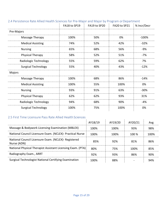|                            | FA18 to SP19 | FA19 to SP20 | FA20 to SP21 | % Incr/Decr |
|----------------------------|--------------|--------------|--------------|-------------|
| Pre-Majors                 |              |              |              |             |
| Massage Therapy            | 100%         | 50%          | 0%           | $-100%$     |
| <b>Medical Assisting</b>   | 74%          | 52%          | 42%          | $-32%$      |
| <b>Nursing</b>             | 65%          | 68%          | 56%          | -9%         |
| <b>Physical Therapy</b>    | 58%          | 52%          | 51%          | -7%         |
| Radiologic Technology      | 55%          | 59%          | 62%          | 7%          |
| <b>Surgical Technology</b> | 55%          | 40%          | 43%          | $-12%$      |
| Majors                     |              |              |              |             |
| Massage Therapy            | 100%         | 68%          | 86%          | $-14%$      |
| <b>Medical Assisting</b>   | 100%         | 55%          | 100%         | 0%          |
| <b>Nursing</b>             | 93%          | 91%          | 63%          | $-30%$      |
| <b>Physical Therapy</b>    | 62%          | 62%          | 93%          | 31%         |
| Radiologic Technology      | 94%          | 68%          | 90%          | -4%         |
| <b>Surgical Technology</b> | 100%         | 75%          | 100%         | 0%          |

#### <span id="page-14-0"></span>2.4 Persistence Rate Allied Health Sciences for Pre-Major and Major by Program or Department

#### <span id="page-14-1"></span>2.5 First Time Licensure Pass Rate Allied Health Sciences

|                                                                      | AY18/19     | AY19/20 | AY20/21 | Avg  |
|----------------------------------------------------------------------|-------------|---------|---------|------|
| Massage & Bodywork Licensing Examination (MBLEX)                     | 100%        | 100%    | 93%     | 98%  |
| National Council Licensure Exam. (NCLEX) - Practical Nurse           | 100%        | 100%    | $100\%$ | 1በበ% |
| National Council Licensure Exam. (NCLEX) - Registered<br>Nurse (ADN) | 85%         | 92%     | 81%     | ጸ6%  |
| National Physical Therapist Assistant Licensing Exam. (PTA)          | <b>ጸ</b> በ% | 75%     | 100%    | 85%  |
| Radiography Exam., ARRT                                              | 92%         | 93%     | 86%     | ዓበ%  |
| Surgical Technologist National Certifying Examination                | 1በበ%        | 88%     |         |      |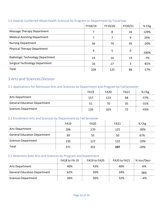#### <span id="page-15-0"></span>2.6 Awards Conferred Allied Health Sciences by Program or Department by FiscalYear

|                                       | FY18/19 | FY19/20 | FY20/21 | % Chg  |
|---------------------------------------|---------|---------|---------|--------|
| <b>Massage Therapy Department</b>     |         |         | 16      | 129%   |
| <b>Medical Assisting Department</b>   |         |         |         | 29%    |
| <b>Nursing Department</b>             | 56      |         |         | -20%   |
| <b>Physical Therapy Department</b>    |         |         |         | 1በበ%   |
| Radiologic Technology Department      |         |         |         | $-7%$  |
| <b>Surgical Technology Department</b> | 16      |         |         | -81%   |
| Total                                 |         | 125     | 86      | $-17%$ |

## <span id="page-15-1"></span>3 Arts and Sciences Division

## <span id="page-15-2"></span>3.1 Applications for Admission Arts and Sciences by Department and Program by FallSemester

|                                     | <b>FA19</b> | FA <sub>20</sub> | FA21 | % Chg  |
|-------------------------------------|-------------|------------------|------|--------|
| Arts Department                     | 157         |                  | 68   | -57%   |
| <b>General Education Department</b> |             | 70               | 35   | $-31%$ |
| Sciences Department                 | 126         | 103              |      | 43%    |

#### <span id="page-15-3"></span>3.2 Enrollment Arts and Sciences by Department by Fall Semester

|                                     | FA <sub>19</sub> | FA <sub>20</sub> | FA <sub>21</sub> | % Chg  |
|-------------------------------------|------------------|------------------|------------------|--------|
| <b>Arts Department</b>              | 206              |                  | 125              | $-39%$ |
| <b>General Education Department</b> |                  |                  |                  | 67%    |
| <b>Sciences Department</b>          | 135              |                  |                  | $-10%$ |
| Total                               |                  |                  |                  | ንበ%    |

#### <span id="page-15-4"></span>3.3 Retention Rate Arts and Sciences by Program and Department

|                                     | FA18 to FA 19 | FA19 to FA20 | FA20 to FA21 | % Incr/Decr |
|-------------------------------------|---------------|--------------|--------------|-------------|
| Arts Department                     | 10%           | 43%          | 46%          | 6%          |
| <b>General Education Department</b> | 62%           | 50%          | 24%          | 38%         |
| Sciences Department                 | 36%           | 36%          | 32%          | -4%         |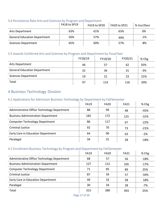#### <span id="page-16-0"></span>3.4 Persistence Rate Arts and Sciences by Program and Department

|                                     | FA18 to SP19 | FA19 to SP20    | $\pm$ FA20 to SP21 | % Incr/Decr |
|-------------------------------------|--------------|-----------------|--------------------|-------------|
| <b>Arts Department</b>              | 63%          | 61 <sup>%</sup> | 63%                | ገ%          |
| <b>General Education Department</b> | 50%          | 57%             | 49%                | -1%         |
| Sciences Department                 | 65%          | 6በ%             | 57%                | .8%         |

#### <span id="page-16-1"></span>3.5 Awards Conferred Arts and Sciences by Program and Department by Fiscal Year

|                                     | FY18/19 | FY19/20 | FY20/21 | % Chg |
|-------------------------------------|---------|---------|---------|-------|
| Arts Department                     |         |         |         | 35%   |
| <b>General Education Department</b> |         | 36      |         | -3%   |
| <b>Sciences Department</b>          | 1 C     |         |         | 21%   |
| Total                               |         | 114     | 116     | ንበ%   |

## <span id="page-16-2"></span>4 Business Technology Division

#### <span id="page-16-3"></span>4.1 Applications for Admission Business Technology by Department by FallSemester

|                                             | FA <sub>19</sub> | FA <sub>20</sub> | FA <sub>21</sub> |         |
|---------------------------------------------|------------------|------------------|------------------|---------|
| Administrative Office Technology Department |                  |                  |                  | -45%    |
| <b>Business Administration Department</b>   | 182              | 172              | 175              | $-31%$  |
| <b>Computer Technology Department</b>       |                  |                  |                  | $-22\%$ |
| <b>Criminal Justice</b>                     |                  |                  |                  | $-21%$  |
| Early Care in Education Department          |                  |                  |                  | -2%     |
| Paralegal                                   |                  |                  |                  | -18%    |

## <span id="page-16-4"></span>4.2 Enrollment Business Technology by Program and Department by Fall Semester

|                                             | FA <sub>19</sub> | <b>FA20</b> | <b>FA21</b> |        |
|---------------------------------------------|------------------|-------------|-------------|--------|
| Administrative Office Technology Department |                  |             |             | $-18%$ |
| <b>Business Administration Department</b>   |                  |             | 105         | $-17%$ |
| <b>Computer Technology Department</b>       |                  |             |             | 25%    |
| <b>Criminal Justice</b>                     |                  |             |             |        |
| Early Care in Education Department          |                  |             |             | 1Ջ%    |
| Paralegal                                   |                  |             |             | -7%    |
| Tota                                        |                  |             |             |        |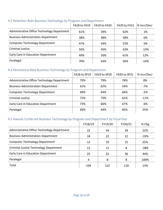#### <span id="page-17-0"></span>4.3 Retention Rate Business Technology by Program and Department

|                                             |     | FA18 to FA19 FA19 to FA20 FA20 to FA21 \% Incr/Decr |     |      |
|---------------------------------------------|-----|-----------------------------------------------------|-----|------|
| Administrative Office Technology Department | 61% | .59%                                                | 62% |      |
| <b>Business Administration Department</b>   | 38% | 38%                                                 | 38% | ባ%   |
| <b>Computer Technology Department</b>       | 47% | 54%                                                 | 52% |      |
| Criminal Justice                            | 56% | 45%                                                 |     | -13% |
| Early Care in Education Department          |     | 50%                                                 | 61% | 12%  |
| Paralegal                                   |     |                                                     |     |      |

#### <span id="page-17-1"></span>4.4 Persistence Rate Business Technology by Program and Department

|                                             |                 |     | FA18 to SP19   FA19 to SP20   FA20 to SP21   % Incr/Decr |         |
|---------------------------------------------|-----------------|-----|----------------------------------------------------------|---------|
| Administrative Office Technology Department | 7በ%             | 79% | 78%                                                      |         |
| <b>Business Administration Department</b>   | 61 <sup>%</sup> | ን%  | 54%                                                      |         |
| <b>Computer Technology Department</b>       | 68%             | 64% | 66%                                                      |         |
| Criminal Justice                            | 72%             | 73% | 61%                                                      | $-11\%$ |
| Early Care in Education Department          | 73%             |     | 67%                                                      |         |
| Paralegal                                   |                 |     |                                                          | フち%     |

#### <span id="page-17-2"></span>4.5 Awards Conferred Business Technology by Program and Department by FiscalYear

|                                               | FY18/19 | FY19/20 | FY20/21 | % Che |
|-----------------------------------------------|---------|---------|---------|-------|
| Administrative Office Technology Department   |         |         |         | 22%   |
| <b>Business Administration Department</b>     |         |         |         | ! ?%  |
| <b>Computer Technology Department</b>         |         |         |         | 25%   |
| <b>Criminal Justice Technology Department</b> |         |         |         | -38%  |
| Early Care in Education Department            |         |         |         |       |
| Paralegal                                     |         |         |         | 1በበ%  |
| Total                                         |         |         |         |       |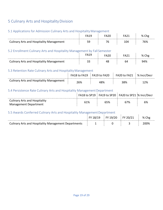## <span id="page-18-0"></span>5 Culinary Arts and HospitalityDivision

## <span id="page-18-1"></span>5.1 Applications for Admission Culinary Arts and Hospitality Management

|                                                 | 'AZL | ™A21 | % Chg |
|-------------------------------------------------|------|------|-------|
| <b>Culinary Arts and Hospitality Management</b> | 76   | 04ء  | 76%   |

#### <span id="page-18-2"></span>5.2 Enrollment Culinary Arts and Hospitality Management by Fall Semester

|                                               |                    |    | $\mathcal{L}_{\mathcal{L}}$ | Chg<br>% |
|-----------------------------------------------|--------------------|----|-----------------------------|----------|
| y Arts and Hospitality Management<br>Culinary | $\sim$<br><u>.</u> | 48 |                             | 94%      |

#### <span id="page-18-3"></span>5.3 Retention Rate Culinary Arts and Hospitality Management

|                                                 | FA18 to FA19 | FA19 to FA20 | FA20 to FA21 | % Incr/Decr |
|-------------------------------------------------|--------------|--------------|--------------|-------------|
| <b>Culinary Arts and Hospitality Management</b> | 26%          | 48%          | 38%          | 7%          |

## <span id="page-18-4"></span>5.4 Persistence Rate Culinary Arts and Hospitality Management Department

|                                                               |                 | FA18 to SP19   FA19 to SP20   FA20 to SP21 % Incr/Decr |     |    |
|---------------------------------------------------------------|-----------------|--------------------------------------------------------|-----|----|
| <b>Culinary Arts and Hospitality</b><br>Management Department | 61 <sup>%</sup> | 65%                                                    | 67% | 6% |

#### <span id="page-18-5"></span>5.5 Awards Conferred Culinary Arts and Hospitality Management Department

|                                                             | <b>FY 19/20</b> | Chg<br>℅ |
|-------------------------------------------------------------|-----------------|----------|
| <b>Culinary Arts and Hospitality Management Departments</b> |                 | '00%     |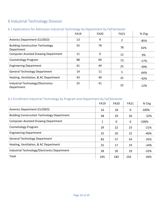# <span id="page-19-0"></span>6 Industrial Technology Division

#### <span id="page-19-1"></span>6.1 Applications for Admission Industrial Technology by Department by FallSemester

|                                                       | <b>FA19</b> | FA <sub>20</sub> | <b>FA21</b> | % Chg  |
|-------------------------------------------------------|-------------|------------------|-------------|--------|
| Avionics Department (CLOSED)                          | 13          | q                |             | $-85%$ |
| <b>Building Construction Technology</b><br>Department | 55          | 78               | 78          | 42%    |
| <b>Computer-Assisted Drawing Department</b>           | 11          |                  | 12          | 9%     |
| Cosmetology Program                                   | 88          | 69               | 73          | $-17%$ |
| <b>Engineering Department</b>                         | 41          | 44               | つら          | -39%   |
| <b>General Technology Department</b>                  | 14          |                  |             | -64%   |
| Heating, Ventilation, & AC Department                 | 43          | 40               | 25          | -42%   |
| Industrial Technology/Electronics<br>Department       | 25          | 41               | 22          | $-12%$ |

#### <span id="page-19-2"></span>6.2 Enrollment Industrial Technology by Program and Department by FallSemester

|                                                    | FA19 | FA20 | FA21 | % Chg  |
|----------------------------------------------------|------|------|------|--------|
| <b>Avionics Department (CLOSED)</b>                | 16   | 18   | 0    | 100%   |
| <b>Building Construction Technology Department</b> | 38   | 29   | 26   | -32%   |
| <b>Computer-Assisted Drawing Department</b>        |      | O    | O    | -100%  |
| Cosmetology Program                                | 29   | 22   | 23   | $-21%$ |
| <b>Engineering Department</b>                      | 25   | 20   | 15   | -40%   |
| <b>General Technology Department</b>               | 83   | 57   | 54   | -35%   |
| Heating, Ventilation, & AC Department              | 25   | 17   | 19   | -24%   |
| Industrial Technology/Electronics Department       | 28   | 20   | 19   | $-32%$ |
| Total                                              | 245  | 183  | 156  | -36%   |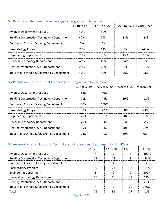|                                                    |     | FA18 to FA19 FA19 to FA20 FA20 to FA21 % Incr/Decr |     |         |
|----------------------------------------------------|-----|----------------------------------------------------|-----|---------|
| Avionics Department (CLOSED)                       | 47% | .50%                                               |     |         |
| <b>Building Construction Technology Department</b> | 42% | 24%                                                | 33% |         |
| <b>Computer-Assisted Drawing Department</b>        | በ%  | በ%                                                 |     |         |
| Cosmetology Program                                | 70% | 62%                                                | 5%  | -65%    |
| <b>Engineering Department</b>                      | 26% | 38%                                                | 15% | $-11\%$ |
| <b>General Technology Department</b>               | 45% | 40%                                                | 54% | 9%      |
| Heating, Ventilation, & AC Department              | 25% | 28%                                                | 6%  | -19%    |
| Industrial Technology/Electronics Department       | 47% | 52%                                                | 70% | 23%     |
|                                                    |     |                                                    |     |         |

#### <span id="page-20-0"></span>6.3 Retention Rate Industrial Technology by Program and Department

#### <span id="page-20-1"></span>6.4 Persistence Rate Industrial Technology by Program and Department

|                                                    |     | FA18 to SP19 FA19 to SP20 FA20 to SP21   % Incr/Decr |     |         |
|----------------------------------------------------|-----|------------------------------------------------------|-----|---------|
| <b>Avionics Department (CLOSED)</b>                | 68% | 76%                                                  |     |         |
| <b>Building Construction Technology Department</b> | 71% | 44%                                                  | 59% | $-12%$  |
| Computer-Assisted Drawing Department               | 4በ% | 100%                                                 |     |         |
| Cosmetology Program                                | 89% | 72%                                                  | 68% | $-21\%$ |
| <b>Engineering Department</b>                      | 70% | 61 <sup>%</sup>                                      | 60% | -10%    |
| <b>General Technology Department</b>               | 70% | 63%                                                  | 63% | $-7%$   |
| Heating, Ventilation, & AC Department              | 85% | 74%                                                  | 50% | $-35%$  |
| Industrial Technology/Electronics Department       | 74% | 71%                                                  | 80% |         |

#### <span id="page-20-2"></span>6.5 Awards Conferred Industrial Technology by Program and Department by FiscalYear

| o.5 Awards Conferred industrial Technology by Program and Department by Fiscal real |    |                   |         |          |
|-------------------------------------------------------------------------------------|----|-------------------|---------|----------|
|                                                                                     |    | FY18/19   FY19/20 | FY20/21 | % Chg    |
| Avionics Department (CLOSED)                                                        |    |                   |         | $-100\%$ |
| <b>Building Construction Technology Department</b>                                  | 18 |                   |         | -56%     |
| <b>Computer-Assisted Drawing Department</b>                                         |    |                   |         |          |
| Cosmetology Program                                                                 |    |                   |         | $-15%$   |
| <b>Engineering Department</b>                                                       |    |                   |         | -100%    |
| <b>General Technology Department</b>                                                |    | 15                | フフ      | 29%      |
| Heating, Ventilation, & AC Department                                               |    | 16                |         | 25%      |
| Industrial Technology/Electronics Department                                        |    |                   | 20      | 186%     |
| Total                                                                               |    |                   |         |          |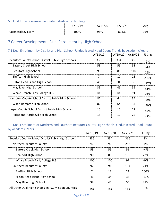#### <span id="page-21-0"></span>6.6 First Time Licensure Pass Rate Industrial Technology

|                  | __   | ∼   |            | Ave |
|------------------|------|-----|------------|-----|
| Cosmetology Exam | 100% | 96% | ).5%<br>oο | 95% |

## <span id="page-21-1"></span>7 Career Development –Dual Enrollment by High School

#### <span id="page-21-2"></span>7.1 Dual Enrollment by District and High School: Unduplicated Head Count Trends by Academic Years

|                                                     | AY18/19 | AY19/20 | AY20/21 | % Chg  |
|-----------------------------------------------------|---------|---------|---------|--------|
| Beaufort County School District Public High Schools | 335     | 334     | 366     | 9%     |
| Battery Creek High School                           | 53      | 55      | 51      | $-4%$  |
| <b>Beaufort High School</b>                         | 90      | 88      | 110     | 22%    |
| <b>Bluffton High School</b>                         |         | 12      | 21      | 200%   |
| Hilton Head Island High School                      | 46      | 34      | 38      | $-17%$ |
| May River High School                               | 39      | 45      | 55      | 41%    |
| Whale Branch Early College H.S.                     | 100     | 100     | 91      | $-9%$  |
| Hampton County School District Public High Schools  | 82      | 64      | 34      | -59%   |
| Wade Hampton High School                            | 82      | 64      | 34      | -59%   |
| Jasper County School District Public High Schools   | 15      | 10      | 22      | 47%    |
| Ridgeland-Hardeeville High School                   | 15      | 10      | 22      | 47%    |

#### <span id="page-21-3"></span>7.2 Dual Enrollment of Northern and Southern Beaufort County High Schools: Unduplicated Head Count by Academic Years

|                                                     | AY 18/19 | AY 19/20 | AY 20/21 | $%$ Chg |
|-----------------------------------------------------|----------|----------|----------|---------|
| Beaufort County School District Public High Schools | 335      | 334      | 366      | 9%      |
| Northern Beaufort County                            | 243      | 243      | 252      | 4%      |
| Battery Creek High School                           | 53       | 55.      | 51       | $-4%$   |
| Beaufort High School                                | 90       | 88       | 110      | 22%     |
| Whale Branch Early College H.S.                     | 100      | 100      | 91       | -9%     |
| Southern Beaufort County                            | 92       | 91       | 114      | 24%     |
| <b>Bluffton High School</b>                         |          | 12       | 21       | 200%    |
| Hilton Head Island High School                      | 46       | 34       | 38       | $-17%$  |
| May River High School                               | 39       | 45       | 55       | 41%     |
| All Other Dual High Schools in TCL Mission Counties | 197      | 197      | 197      | $-7%$   |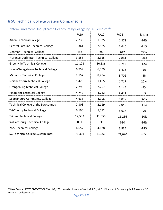# <span id="page-22-0"></span>8 SC Technical College System Comparisons

<span id="page-22-1"></span>

| System Enrollment Unduplicated Headcount by College by Fall Semester <sup>14</sup> |
|------------------------------------------------------------------------------------|
|------------------------------------------------------------------------------------|

|                                       | <b>FA19</b> | <b>FA20</b> | <b>FA21</b> | % Chg  |
|---------------------------------------|-------------|-------------|-------------|--------|
| Aiken Technical College               | 2,236       | 1,925       | 1,873       | $-16%$ |
| Central Carolina Technical College    | 3,361       | 2,885       | 2,640       | $-21%$ |
| <b>Denmark Technical College</b>      | 482         | 491         | 612         | 27%    |
| Florence-Darlington Technical College | 3,558       | 3,315       | 2,861       | $-20%$ |
| <b>Greenville Technical College</b>   | 11,123      | 10,536      | 9,756       | $-12%$ |
| Horry-Georgetown Technical College    | 6,759       | 6,409       | 6,416       | -5%    |
| <b>Midlands Technical College</b>     | 9,157       | 8,794       | 8,702       | $-5%$  |
| Northeastern Technical College        | 1,429       | 1,465       | 1,717       | 20%    |
| Orangeburg Technical College          | 2,298       | 2,257       | 2,145       | $-7%$  |
| <b>Piedmont Technical College</b>     | 4,747       | 4,712       | 4,491       | $-5%$  |
| Spartanburg Community College         | 4,633       | 4,108       | 6,097       | 32%    |
| Technical College of the Lowcountry   | 2,308       | 2,119       | 2,046       | $-11%$ |
| <b>Tri-County Technical College</b>   | 6,190       | 5,582       | 5,617       | -9%    |
| <b>Trident Technical College</b>      | 12,532      | 11,650      | 11,286      | $-10%$ |
| <b>Williamsburg Technical College</b> | 831         | 635         | 530         | $-36%$ |
| <b>York Technical College</b>         | 4,657       | 4,178       | 3,835       | $-18%$ |
| SC Technical College System Total     | 76,301      | 71,061      | 71,620      | $-6%$  |

<span id="page-22-2"></span> <sup>14</sup> Data Source: SCTCS EDSS-ST-VER010 11/2/2021provided by Adam Sokol M.S.Ed, M.Ed, Director of Data Analysis & Research, SC Technical College System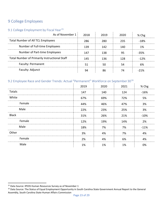## <span id="page-23-0"></span>9 College Employees

## <span id="page-23-1"></span>9.1 College Employment by Fiscal Year<sup>[15](#page-23-3)</sup>

| As of November 1                                     | 2018 | 2019 | 2020 | % Chg  |
|------------------------------------------------------|------|------|------|--------|
| <b>Total Number of All TCL Employees</b>             | 286  |      | 235  | -18%   |
| Number of Full-time Employees                        | 139  | 142  | 140  | 1%     |
| Number of Part-time Employees                        | 147  |      |      | -35%   |
| <b>Total Number of Primarily Instructional Staff</b> | 145  | 136  | 178  | $-12%$ |
| Faculty: Permanent                                   |      |      |      |        |
| Faculty: Adjunct                                     |      |      |      |        |

## <span id="page-23-2"></span>9.2 Employee Race and Gender Trends: Actual "Permanent" Workforce on September 30<sup>[16](#page-23-4)</sup>

|              | 2019 | 2020 | 2021 | % Chg  |
|--------------|------|------|------|--------|
| Totals       | 147  | 140  | 124  | $-16%$ |
| White        | 67%  | 69%  | 72%  | 5%     |
| Female       | 44%  | 46%  | 47%  | 3%     |
| Male         | 22%  | 23%  | 25%  | 3%     |
| <b>Black</b> | 31%  | 26%  | 21%  | $-10%$ |
| Female       | 12%  | 19%  | 14%  | 2%     |
| Male         | 18%  | 7%   | 7%   | $-11%$ |
| Other        | 3%   | 4%   | 7%   | 4%     |
| Female       | 2%   | 4%   | 6%   | 4%     |
| Male         | 1%   | 1%   | 1%   | 0%     |

<span id="page-23-3"></span><sup>&</sup>lt;sup>15</sup> Data Source: IPEDS Human Resources Survey as of November 1

<span id="page-23-4"></span><sup>&</sup>lt;sup>16</sup> Data Source: The Status of Equal Employment Opportunity in South Carolina State Government Annual Report to the General Assembly, South Carolina State Human Affairs Commission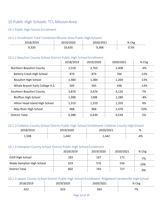## <span id="page-24-0"></span>10 Public High Schools: TCL MissionArea

#### <span id="page-24-1"></span>10.1 Public High School Enrollment

#### <span id="page-24-2"></span>10.1.1 Enrollment Total Combined Mission Area Public High Schools

|  | ີ    |
|--|------|
|  | ره ۳ |

## <span id="page-24-3"></span>10.1.2 Beaufort County School District Public High School Enrollment

|                                 | 2018/2019 | 2019/2020 | 2020/2021 | % Chg  |
|---------------------------------|-----------|-----------|-----------|--------|
| Northern Beaufort County        | 2,518     | 2,763     | 2,408     | -4%    |
| Battery Creek High School       | 874       | 874       | 766       | $-12%$ |
| Beaufort High School            | 1,384     | 1,384     | 1.204     | -13%   |
| Whale Branch Early College H.S. | 505       | 505       | 438       | $-13%$ |
| Southern Beaufort County        | 3,870     | 3,676     | 4.126     | 7%     |
| <b>Bluffton High School</b>     | 1.398     | 1398      | 1.289     | -8%    |
| Hilton Head Island High School  | 1.310     | 1.310     | 1.359     | 4%     |
| May River High School           | 968       | 968       | 1,478     | 53%    |
| <b>District Total</b>           | 6.388     | 6.439     | 6.534     | ን%     |

#### <span id="page-24-4"></span>10.1.3 Colleton County School District Public High School Enrollment: Colleton County High School

| -- U -- --<br>.<br>. | -<br>∼∽<br>∠∪∠∪   | ∸∽∽∽<br><u>~ v</u>      | -<br>%           |
|----------------------|-------------------|-------------------------|------------------|
| ---                  | $AA^-$<br>⊸⊤<br>- | . .<br>ΔД<br>–  ⊷<br>-- | . .<br>-4<br>+70 |

#### <span id="page-24-5"></span>10.1.4 Hampton County School District Public High School Enrollment

|                           | 2018/2019 | 2019/2020 | 2020/2021 | $%$ Chg |
|---------------------------|-----------|-----------|-----------|---------|
| <b>Estill High School</b> | 183       | 167       | 171       | -7%     |
| Wade Hampton High School  | 619       |           | 556       | -10%    |
| District Total            |           | 743       |           |         |

#### <span id="page-24-6"></span>10.1.5 Jasper County School District Public High School Enrollment: Ridgeland-Hardeeville High School

|           | -- | ◡▵<br>$ \sim$ | -<br>07<br>$\circ$ |
|-----------|----|---------------|--------------------|
| --<br>┚᠘᠘ | .  | $\sim$ $\sim$ | 7%                 |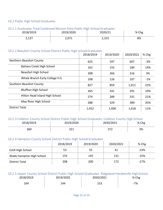#### <span id="page-25-0"></span>10.2 Public High School Graduates

#### <span id="page-25-1"></span>10.2.1 Graduates Total Combined Mission Area Public High School Graduates

| วกา o<br><b>LUIU</b><br>ر 150 | 2013.<br>ZUZU | <u>_ _</u><br>---- | 0/<br>'U<br>ີ |
|-------------------------------|---------------|--------------------|---------------|
| ب _<br>-                      |               | <u>_,  _ _</u>     | 8%            |

#### <span id="page-25-2"></span>10.2.2 Beaufort County School District Public High SchoolGraduates

|                                 | 2018/2019 | 2019/2020 | 2020/2021 | $\frac{1}{2}$ % Chg |
|---------------------------------|-----------|-----------|-----------|---------------------|
| Northern Beaufort County        | 625       | 547       | 607       | $-3%$               |
| Battery Creek High School       | 162       | 155       | 184       | 14%                 |
| <b>Beaufort High School</b>     | 308       | 266       | 316       | 3%                  |
| Whale Branch Early College H.S. | 108       | 126       | 107       | $-1\%$              |
| Southern Beaufort County        | 827       | 859       | 1.011     | 22%                 |
| <b>Bluffton High School</b>     | 265       | 241       | 291       | 10%                 |
| Hilton Head Island High School  | 274       | 289       | 331       | 21%                 |
| May River High School           | 288       | 329       | 389       | 35%                 |
| District Total                  | 1,452     | 1.406     | 1,618     | 11%                 |

#### <span id="page-25-3"></span>10.2.3 Colleton County School District Public High School Graduates: Colleton County High School

| LV.         |    | %                |
|-------------|----|------------------|
|             | -- | Chg              |
| n cr<br>30U |    | $\Omega$<br>0⁄ د |

#### <span id="page-25-4"></span>10.2.4 Hampton County School District Public High SchoolGraduates

|                           | 2018/2019 | 2019/2020 | 2020/2021 | % Chg  |
|---------------------------|-----------|-----------|-----------|--------|
| <b>Estill High School</b> |           |           |           | $-23%$ |
| Wade Hampton High School  | 155       | 145       |           | -15%   |
| District Total            | 208       | 200       |           | -17%   |

#### <span id="page-25-5"></span>10.2.5 Jasper County School District Public High School Graduates: Ridgeland-Hardeeville HighSchool

|  |     | %<br>איי         |
|--|-----|------------------|
|  | --- | 70.<br>- 1<br>70 |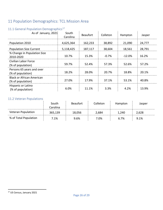# <span id="page-26-0"></span>11 Population Demographics: TCL Mission Area

| <b>II.I General Population Demographics</b>           |                   |                 |          |          |        |  |
|-------------------------------------------------------|-------------------|-----------------|----------|----------|--------|--|
| As of January, 2021                                   | South<br>Carolina | <b>Beaufort</b> | Colleton | Hampton  | Jasper |  |
| Population 2010                                       | 4,625,364         | 162,233         | 38,892   | 21,090   | 24,777 |  |
| <b>Population Size Current</b>                        | 5,118,425         | 187,117         | 38,604   | 18,561   | 28,791 |  |
| % Change in Population Size<br>2010-2020              | 10.7%             | 15.3%           | $-0.7\%$ | $-12.0%$ | 16.2%  |  |
| Civilian Labor Force<br>(% of population)             | 59.7%             | 52.4%           | 57.3%    | 52.6%    | 57.2%  |  |
| Persons 65 years and over<br>(% of population)        | 18.2%             | 28.0%           | 20.7%    | 18.8%    | 20.1%  |  |
| <b>Black or African American</b><br>(% of population) | 27.0%             | 17.9%           | 37.1%    | 53.1%    | 40.8%  |  |
| Hispanic or Latino<br>(% of population)               | 6.0%              | 11.1%           | 3.3%     | 4.2%     | 13.9%  |  |

## <span id="page-26-1"></span>11.1 General Population Demographics<sup>[17](#page-26-3)</sup>

#### <span id="page-26-2"></span>11.2 Veteran Populations

|                       | South<br>Carolina | <b>Beaufort</b> | Colleton | Hampton | Jasper  |
|-----------------------|-------------------|-----------------|----------|---------|---------|
| Veteran Population    | 365,139           | 18,056          | 2,684    | 1,240   | 2,628   |
| % of Total Population | 7.1%              | 9.6%            | 7.0%     | 6.7%    | $9.1\%$ |

<span id="page-26-3"></span> <sup>17</sup> US Census, January 2021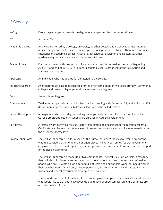# <span id="page-27-0"></span>12 Glossary

| % Chg                | Percentage change represents the degree of change over the time period shown.                                                                                                                                                                                                                                                                                                                                                                                    |
|----------------------|------------------------------------------------------------------------------------------------------------------------------------------------------------------------------------------------------------------------------------------------------------------------------------------------------------------------------------------------------------------------------------------------------------------------------------------------------------------|
| AY                   | Academic Year                                                                                                                                                                                                                                                                                                                                                                                                                                                    |
| Academic Degree      | An award conferred by a college, university, or other postsecondary education institution as<br>official recognition for the successful completion of a program of studies. There are four main<br>categories of academic degrees: Associate, Baccalaureate, Master, and Doctorate. Other<br>academic degrees can include certificates and diplomas.                                                                                                             |
| Academic Year        | For the purposes of this report, applicant academic year is defined as the period beginning<br>August 1 and ending July 30. Enrollment academic year is comprised of the Fall, Spring and<br>Summer report terms.                                                                                                                                                                                                                                                |
| Applicant            | An individual who has applied for admission to the college.                                                                                                                                                                                                                                                                                                                                                                                                      |
| Associate Degree     | An undergraduate academic degree granted after completion of two years of study. Community<br>colleges and career colleges generally award associate degrees.                                                                                                                                                                                                                                                                                                    |
| Award                | See Academic Degree.                                                                                                                                                                                                                                                                                                                                                                                                                                             |
| Calendar Year        | Twelve-month period starting with January 1 and ending with December 31, and which has 365<br>days in non-leap years and 366 days in a leap year. Also called civilyear.                                                                                                                                                                                                                                                                                         |
| Career Development   | A program in which non-degree seeking undergraduates are enrolled. Dual Enrolled or Early<br>College Credit Opportunity students are enrolled in Career Development.                                                                                                                                                                                                                                                                                             |
| Certificate          | A formal award certifying the satisfactory completion of a postsecondary education program.<br>Certificates can be awarded at any level of postsecondary education and include awards below<br>the associate degree level.                                                                                                                                                                                                                                       |
| Civilian Labor Force | The civilian labor force is a term used by the Bureau of Labor Statistics to refer to Americans<br>whom it considers either employed or unemployed; military personnel, federal government<br>employees, retirees, handicapped or discouraged workers, and agricultural workers are not part<br>of the civilian labor force                                                                                                                                      |
|                      | The civilian labor force is made up of two components. The first is civilian workers, a category<br>that includes all private sector, state and local government workers. Workers are defined as<br>people who are 16 years old or older and did at least one hour of paid work (or unpaid work in<br>their own business). Active-duty military personnel, institutionalized individuals, agricultural<br>workers and federal government employees are excluded. |
|                      | The second component of the labor force is unemployed people who are available work. People<br>who would like to work but have given up due to lack of opportunities, an injury or illness are<br>outside the labor force.                                                                                                                                                                                                                                       |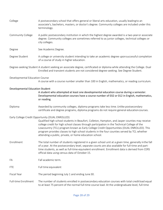| College                                | A postsecondary school that offers general or liberal arts education, usually leading to an<br>associate's, bachelors, masters, or doctor's degree. Community colleges are included under this<br>terminology.                                                                                                                                                                                                                                                                                            |
|----------------------------------------|-----------------------------------------------------------------------------------------------------------------------------------------------------------------------------------------------------------------------------------------------------------------------------------------------------------------------------------------------------------------------------------------------------------------------------------------------------------------------------------------------------------|
| Community College                      | A public postsecondary institution in which the highest degree awarded is a two-yearor associate<br>degree. Community colleges are sometimes referred to as junior colleges, technical colleges or<br>city colleges.                                                                                                                                                                                                                                                                                      |
| Degree                                 | See Academic Degree.                                                                                                                                                                                                                                                                                                                                                                                                                                                                                      |
| Degree Student                         | A college or university student intending to take an academic degree uponsuccessful completion<br>of a course of study in higher education.                                                                                                                                                                                                                                                                                                                                                               |
|                                        | Degree-seeking Student A student seeking an associate degree, certificated or diploma while attending the College. Dual<br>Enrolled and transient students are not considered degree-seeking. See Degree Student.                                                                                                                                                                                                                                                                                         |
| Developmental Education Course         | A course with a course number smaller than 100 in English, mathematics, or reading curriculum.                                                                                                                                                                                                                                                                                                                                                                                                            |
| <b>Developmental Education Student</b> | A student who attempted at least one developmental education course during a semester.<br>Developmental education courses have a course number of 032 or 012 in English, mathematics,<br>or reading.                                                                                                                                                                                                                                                                                                      |
| Diploma                                | Awarded by community colleges, diploma programs take less time. Unlike postsecondary<br>certificate and degree programs, diploma programs do not require general education courses.                                                                                                                                                                                                                                                                                                                       |
|                                        | Early College Credit Opportunity (DUAL ENROLLED)<br>Qualified high school students in Beaufort, Colleton, Hampton, and Jasper counties may receive<br>college credit for high school classes through participation in the Technical College of the<br>Lowcountry (TCL) program known as Early College Credit Opportunities (DUAL ENROLLED). This<br>program provides classes to high school students in the four counties served by TCL whether<br>attending a public, private, or home education school. |
| Enrollment                             | The total number of students registered in a given school unit at a given time, generally in the fall<br>of a year. At the postsecondary level, separate counts are also available for full-time and part-<br>time students, as well as full-time-equivalent enrollment. Enrollment data is derived from CERS<br>official data using census data of October 15.                                                                                                                                           |
| FA                                     | Fall academic term.                                                                                                                                                                                                                                                                                                                                                                                                                                                                                       |
| <b>FTE</b>                             | Full time equivalent                                                                                                                                                                                                                                                                                                                                                                                                                                                                                      |
| <b>Fiscal Year</b>                     | The period beginning July 1 and ending June 30.                                                                                                                                                                                                                                                                                                                                                                                                                                                           |
| <b>Full-time Enrollment</b>            | The number of students enrolled in postsecondary education courses with total credit load equal<br>to at least 75 percent of the normal full-time course load. At the undergraduate level, full-time                                                                                                                                                                                                                                                                                                      |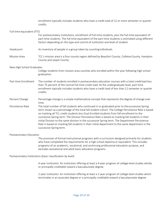|                                                            | enrollment typically includes students who have a credit load of 12 or more semester or quarter<br>credits.                                                                                                                                                                                                                                                                                                                                                                                                                                                                                                                                |
|------------------------------------------------------------|--------------------------------------------------------------------------------------------------------------------------------------------------------------------------------------------------------------------------------------------------------------------------------------------------------------------------------------------------------------------------------------------------------------------------------------------------------------------------------------------------------------------------------------------------------------------------------------------------------------------------------------------|
| Full-time-equivalent (FTE)                                 |                                                                                                                                                                                                                                                                                                                                                                                                                                                                                                                                                                                                                                            |
|                                                            | For postsecondary institutions, enrollment of full-time students, plus the full-time equivalent of<br>part-time students. The full-time equivalent of the part-time students is estimated using different<br>factors depending on the type and control of institution and level of student.                                                                                                                                                                                                                                                                                                                                                |
| Headcount                                                  | An inventory of people in a group taken by counting individuals.                                                                                                                                                                                                                                                                                                                                                                                                                                                                                                                                                                           |
| <b>Mission Area</b>                                        | TCL's mission area is a four-county region defined by Beaufort County, Colleton County, Hampton<br>County and Jasper County.                                                                                                                                                                                                                                                                                                                                                                                                                                                                                                               |
| New High School Graduates                                  |                                                                                                                                                                                                                                                                                                                                                                                                                                                                                                                                                                                                                                            |
|                                                            | College students from mission area counties who enrolled within the year following high school<br>graduation.                                                                                                                                                                                                                                                                                                                                                                                                                                                                                                                              |
| Part-time Enrollment                                       | The number of students enrolled in postsecondary education courses with a total creditload less<br>than 75 percent of the normal full-time credit load. At the undergraduate level, part-time<br>enrollment typically includes students who have a credit load of less than 12 semester or quarter<br>credits.                                                                                                                                                                                                                                                                                                                             |
| Percent Change                                             | Percentage change is a simple mathematical concept that represents the degree of change over<br>time.                                                                                                                                                                                                                                                                                                                                                                                                                                                                                                                                      |
| Persistence Rate                                           | The total number of fall students who continued in or graduated prior to thesuccessive Spring<br>term shown as a percentage of the total fall student cohort. The College Persistence Rate is based<br>on tracking all TCL credit students less Dual Enrolled students from fall enrollment to the<br>successive Spring term. The Division Persistence Rate is based on tracking fall students in their<br>initial Division to the same division in the successive Spring term. The Department Persistence<br>Rate is based on tracking fall students in their initial department to the same department in the<br>successive Spring term. |
| Postsecondary Education                                    |                                                                                                                                                                                                                                                                                                                                                                                                                                                                                                                                                                                                                                            |
|                                                            | The provision of formal instructional programs with a curriculum designed primarily for students<br>who have completed the requirements for a high school diploma or equivalent. This includes<br>programs of an academic, vocational, and continuing professional education purpose, and<br>excludes avocational and adult basic education programs.                                                                                                                                                                                                                                                                                      |
| Postsecondary Institutions (basic classification by level) |                                                                                                                                                                                                                                                                                                                                                                                                                                                                                                                                                                                                                                            |
|                                                            | 4-year institution: An institution offering at least a 4-year program of college-level studies wholly<br>or principally creditable toward a baccalaureate degree.                                                                                                                                                                                                                                                                                                                                                                                                                                                                          |

2-year institution: An institution offering at least a 2-year program of college-level studies which terminates in an associate degree or is principally creditable toward a baccalaureate degree.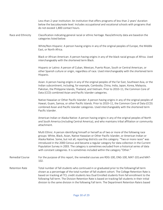Less-than-2-year institution: An institution that offers programs of less than 2 years' duration below the baccalaureate level. Includes occupational and vocational schools with programs that do not exceed 1,800 contact hours. Race and Ethnicity Classification indicating general racial or ethnic heritage. Race/ethnicity data are basedon the categories listed below: White/Non-Hispanic: A person having origins in any of the original peoples of Europe, the Middle East, or North Africa. Black or African American: A person having origins in any of the black racial groups of Africa. Used interchangeably with the shortened term Black. Hispanic or Latino: A person of Cuban, Mexican, Puerto Rican, South or Central American, or other Spanish culture or origin, regardless of race. Used interchangeably with the shortened term Hispanic. Asian: A person having origins in any of the original peoples of the Far East, Southeast Asia, or the Indian subcontinent, including, for example, Cambodia, China, India, Japan, Korea, Malaysia, Pakistan, the Philippine Islands, Thailand, and Vietnam. Prior to 2010–11, the Common Core of Data (CCD) combined Asian and Pacific Islander categories. Native Hawaiian or Other Pacific Islander: A person having origins in any of the original peoples of Hawaii, Guam, Samoa, or other Pacific Islands. Prior to 2010–11, the Common Core of Data (CCD) combined Asian and Pacific Islander categories. Used interchangeably with the shortened term Pacific Islander. American Indian or Alaska Native: A person having origins in any of the original peoples of North and South America (including Central America), and who maintains tribal affiliation or community attachment. Multi Ethnic: A person identifying himself or herself as of two or more of the following race groups: White, Black, Asian, Native Hawaiian or Other Pacific Islander, or American Indian or Alaska Native. Some, but not all, reporting districts use this category. "Two or more races" was introduced in the 2000 Census and became a regular category for data collection in the Current Population Survey in 2003. The category is sometimes excluded from a historical series of data with constant categories. It is sometimes included within the category "Other." Remedial Course For the purpose of this report, the remedial courses are RDG-100, ENG-100, MAT-101 and MAT-102. Retention Rate Total number of fall students who continued in or graduated prior to the following Fall term shown as a percentage of the total number of fall student cohort. The College Retention Rate is based on tracking all TCL credit students less Dual Enrolled students from fall enrollment to the following Fall term. The Division Retention Rate is based on tracking fall students in their initial division to the same division in the following Fall term. The Department Retention Rateis based